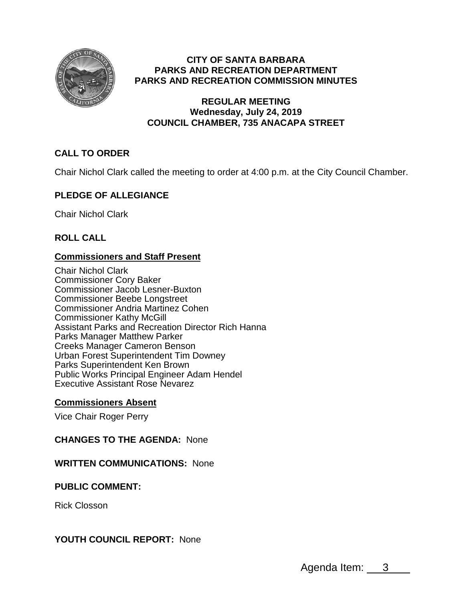

## **CITY OF SANTA BARBARA PARKS AND RECREATION DEPARTMENT PARKS AND RECREATION COMMISSION MINUTES**

## **REGULAR MEETING Wednesday, July 24, 2019 COUNCIL CHAMBER, 735 ANACAPA STREET**

# **CALL TO ORDER**

Chair Nichol Clark called the meeting to order at 4:00 p.m. at the City Council Chamber.

# **PLEDGE OF ALLEGIANCE**

Chair Nichol Clark

**ROLL CALL**

## **Commissioners and Staff Present**

Chair Nichol Clark Commissioner Cory Baker Commissioner Jacob Lesner-Buxton Commissioner Beebe Longstreet Commissioner Andria Martinez Cohen Commissioner Kathy McGill Assistant Parks and Recreation Director Rich Hanna Parks Manager Matthew Parker Creeks Manager Cameron Benson Urban Forest Superintendent Tim Downey Parks Superintendent Ken Brown Public Works Principal Engineer Adam Hendel Executive Assistant Rose Nevarez

## **Commissioners Absent**

Vice Chair Roger Perry

## **CHANGES TO THE AGENDA:** None

## **WRITTEN COMMUNICATIONS:** None

## **PUBLIC COMMENT:**

Rick Closson

## **YOUTH COUNCIL REPORT:** None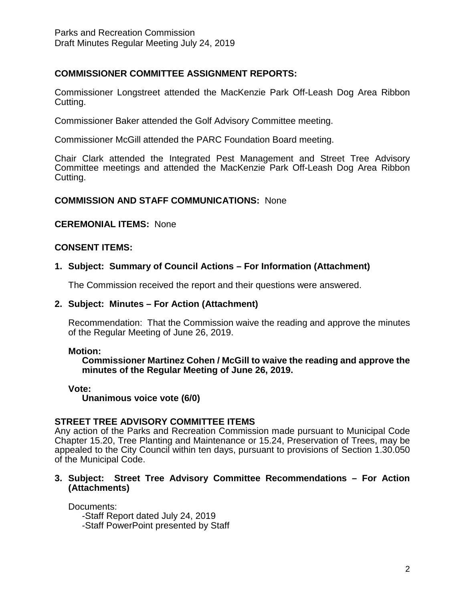## **COMMISSIONER COMMITTEE ASSIGNMENT REPORTS:**

Commissioner Longstreet attended the MacKenzie Park Off-Leash Dog Area Ribbon Cutting.

Commissioner Baker attended the Golf Advisory Committee meeting.

Commissioner McGill attended the PARC Foundation Board meeting.

Chair Clark attended the Integrated Pest Management and Street Tree Advisory Committee meetings and attended the MacKenzie Park Off-Leash Dog Area Ribbon Cutting.

## **COMMISSION AND STAFF COMMUNICATIONS:** None

#### **CEREMONIAL ITEMS:** None

## **CONSENT ITEMS:**

## **1. Subject: Summary of Council Actions – For Information (Attachment)**

The Commission received the report and their questions were answered.

### **2. Subject: Minutes – For Action (Attachment)**

Recommendation: That the Commission waive the reading and approve the minutes of the Regular Meeting of June 26, 2019.

#### **Motion:**

**Commissioner Martinez Cohen / McGill to waive the reading and approve the minutes of the Regular Meeting of June 26, 2019.**

#### **Vote:**

**Unanimous voice vote (6/0)**

## **STREET TREE ADVISORY COMMITTEE ITEMS**

Any action of the Parks and Recreation Commission made pursuant to Municipal Code Chapter 15.20, Tree Planting and Maintenance or 15.24, Preservation of Trees, may be appealed to the City Council within ten days, pursuant to provisions of Section 1.30.050 of the Municipal Code.

#### **3. Subject: Street Tree Advisory Committee Recommendations – For Action (Attachments)**

Documents:

-Staff Report dated July 24, 2019 -Staff PowerPoint presented by Staff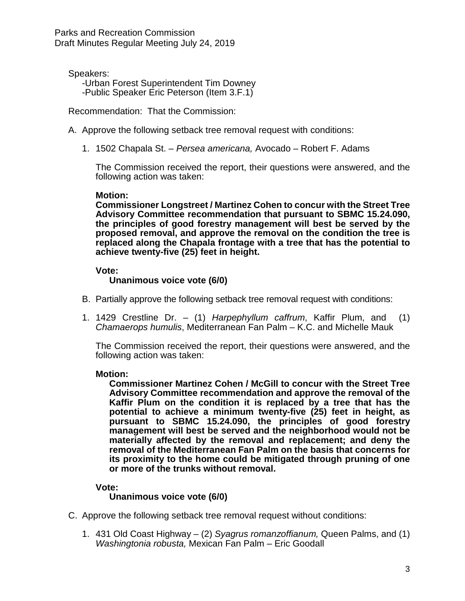Parks and Recreation Commission Draft Minutes Regular Meeting July 24, 2019

Speakers:

-Urban Forest Superintendent Tim Downey

-Public Speaker Eric Peterson (Item 3.F.1)

Recommendation: That the Commission:

A. Approve the following setback tree removal request with conditions:

1. 1502 Chapala St. – *Persea americana,* Avocado *–* Robert F. Adams

The Commission received the report, their questions were answered, and the following action was taken:

#### **Motion:**

**Commissioner Longstreet / Martinez Cohen to concur with the Street Tree Advisory Committee recommendation that pursuant to SBMC 15.24.090, the principles of good forestry management will best be served by the proposed removal, and approve the removal on the condition the tree is replaced along the Chapala frontage with a tree that has the potential to achieve twenty-five (25) feet in height.**

#### **Vote:**

#### **Unanimous voice vote (6/0)**

- B. Partially approve the following setback tree removal request with conditions:
- 1. 1429 Crestline Dr. (1) *Harpephyllum caffrum*, Kaffir Plum, and (1) *Chamaerops humulis*, Mediterranean Fan Palm – K.C. and Michelle Mauk

The Commission received the report, their questions were answered, and the following action was taken:

#### **Motion:**

**Commissioner Martinez Cohen / McGill to concur with the Street Tree Advisory Committee recommendation and approve the removal of the Kaffir Plum on the condition it is replaced by a tree that has the potential to achieve a minimum twenty-five (25) feet in height, as pursuant to SBMC 15.24.090, the principles of good forestry management will best be served and the neighborhood would not be materially affected by the removal and replacement; and deny the removal of the Mediterranean Fan Palm on the basis that concerns for its proximity to the home could be mitigated through pruning of one or more of the trunks without removal.**

#### **Vote:**

**Unanimous voice vote (6/0)**

- C. Approve the following setback tree removal request without conditions:
	- 1. 431 Old Coast Highway (2) *Syagrus romanzoffianum,* Queen Palms, and (1) *Washingtonia robusta,* Mexican Fan Palm – Eric Goodall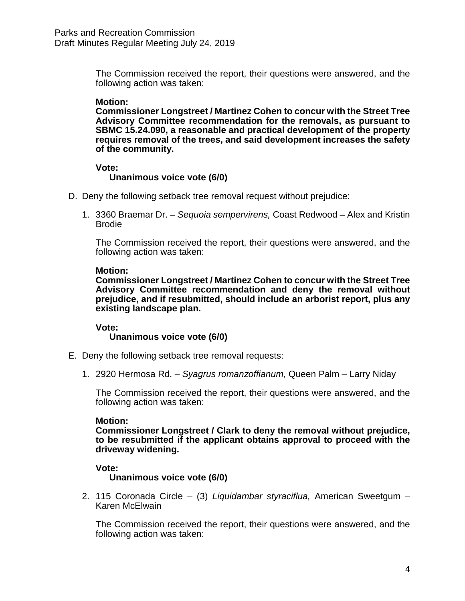The Commission received the report, their questions were answered, and the following action was taken:

#### **Motion:**

**Commissioner Longstreet / Martinez Cohen to concur with the Street Tree Advisory Committee recommendation for the removals, as pursuant to SBMC 15.24.090, a reasonable and practical development of the property requires removal of the trees, and said development increases the safety of the community.**

#### **Vote:**

#### **Unanimous voice vote (6/0)**

- D. Deny the following setback tree removal request without prejudice:
	- 1. 3360 Braemar Dr. *Sequoia sempervirens,* Coast Redwood Alex and Kristin Brodie

The Commission received the report, their questions were answered, and the following action was taken:

#### **Motion:**

**Commissioner Longstreet / Martinez Cohen to concur with the Street Tree Advisory Committee recommendation and deny the removal without prejudice, and if resubmitted, should include an arborist report, plus any existing landscape plan.**

**Vote:**

## **Unanimous voice vote (6/0)**

- E. Deny the following setback tree removal requests:
	- 1. 2920 Hermosa Rd. *Syagrus romanzoffianum,* Queen Palm Larry Niday

The Commission received the report, their questions were answered, and the following action was taken:

#### **Motion:**

**Commissioner Longstreet / Clark to deny the removal without prejudice, to be resubmitted if the applicant obtains approval to proceed with the driveway widening.**

## **Vote:**

#### **Unanimous voice vote (6/0)**

2. 115 Coronada Circle – (3) *Liquidambar styraciflua,* American Sweetgum – Karen McElwain

The Commission received the report, their questions were answered, and the following action was taken: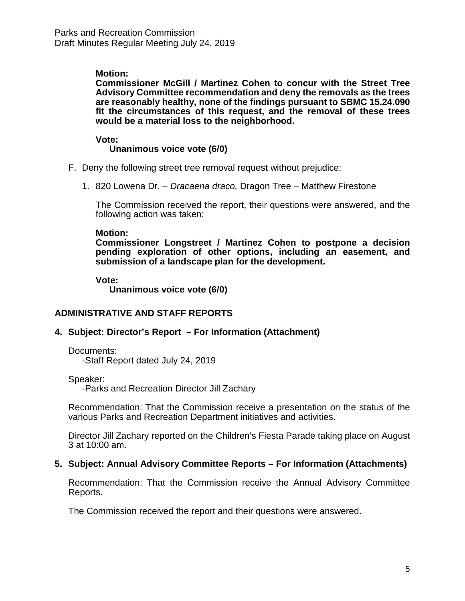## **Motion:**

**Commissioner McGill / Martinez Cohen to concur with the Street Tree Advisory Committee recommendation and deny the removals as the trees are reasonably healthy, none of the findings pursuant to SBMC 15.24.090 fit the circumstances of this request, and the removal of these trees would be a material loss to the neighborhood.**

**Vote:**

## **Unanimous voice vote (6/0)**

- F. Deny the following street tree removal request without prejudice:
	- 1. 820 Lowena Dr. *Dracaena draco,* Dragon Tree Matthew Firestone

The Commission received the report, their questions were answered, and the following action was taken:

#### **Motion:**

**Commissioner Longstreet / Martinez Cohen to postpone a decision pending exploration of other options, including an easement, and submission of a landscape plan for the development.**

#### **Vote:**

**Unanimous voice vote (6/0)**

## **ADMINISTRATIVE AND STAFF REPORTS**

## **4. Subject: Director's Report – For Information (Attachment)**

Documents:

-Staff Report dated July 24, 2019

Speaker:

-Parks and Recreation Director Jill Zachary

Recommendation: That the Commission receive a presentation on the status of the various Parks and Recreation Department initiatives and activities.

Director Jill Zachary reported on the Children's Fiesta Parade taking place on August 3 at 10:00 am.

## **5. Subject: Annual Advisory Committee Reports – For Information (Attachments)**

Recommendation: That the Commission receive the Annual Advisory Committee Reports.

The Commission received the report and their questions were answered.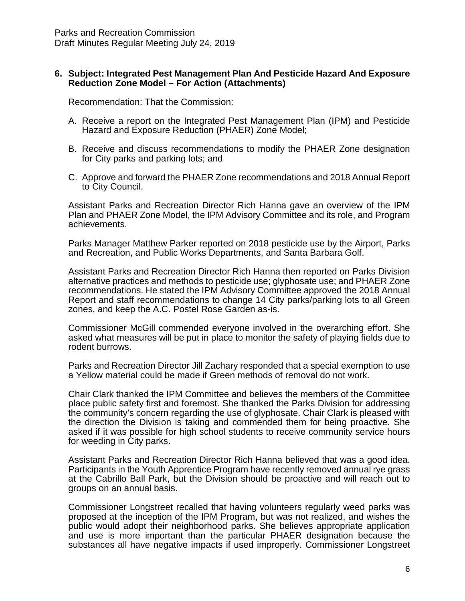#### **6. Subject: Integrated Pest Management Plan And Pesticide Hazard And Exposure Reduction Zone Model – For Action (Attachments)**

Recommendation: That the Commission:

- A. Receive a report on the Integrated Pest Management Plan (IPM) and Pesticide Hazard and Exposure Reduction (PHAER) Zone Model;
- B. Receive and discuss recommendations to modify the PHAER Zone designation for City parks and parking lots; and
- C. Approve and forward the PHAER Zone recommendations and 2018 Annual Report to City Council.

Assistant Parks and Recreation Director Rich Hanna gave an overview of the IPM Plan and PHAER Zone Model, the IPM Advisory Committee and its role, and Program achievements.

Parks Manager Matthew Parker reported on 2018 pesticide use by the Airport, Parks and Recreation, and Public Works Departments, and Santa Barbara Golf.

Assistant Parks and Recreation Director Rich Hanna then reported on Parks Division alternative practices and methods to pesticide use; glyphosate use; and PHAER Zone recommendations. He stated the IPM Advisory Committee approved the 2018 Annual Report and staff recommendations to change 14 City parks/parking lots to all Green zones, and keep the A.C. Postel Rose Garden as-is.

Commissioner McGill commended everyone involved in the overarching effort. She asked what measures will be put in place to monitor the safety of playing fields due to rodent burrows.

Parks and Recreation Director Jill Zachary responded that a special exemption to use a Yellow material could be made if Green methods of removal do not work.

Chair Clark thanked the IPM Committee and believes the members of the Committee place public safety first and foremost. She thanked the Parks Division for addressing the community's concern regarding the use of glyphosate. Chair Clark is pleased with the direction the Division is taking and commended them for being proactive. She asked if it was possible for high school students to receive community service hours for weeding in City parks.

Assistant Parks and Recreation Director Rich Hanna believed that was a good idea. Participants in the Youth Apprentice Program have recently removed annual rye grass at the Cabrillo Ball Park, but the Division should be proactive and will reach out to groups on an annual basis.

Commissioner Longstreet recalled that having volunteers regularly weed parks was proposed at the inception of the IPM Program, but was not realized, and wishes the public would adopt their neighborhood parks. She believes appropriate application and use is more important than the particular PHAER designation because the substances all have negative impacts if used improperly. Commissioner Longstreet